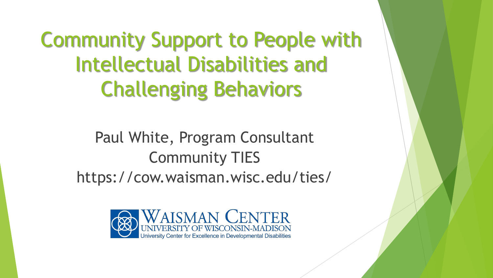Community Support to People with Intellectual Disabilities and Challenging Behaviors

> Paul White, Program Consultant Community TIES https://cow.waisman.wisc.edu/ties/

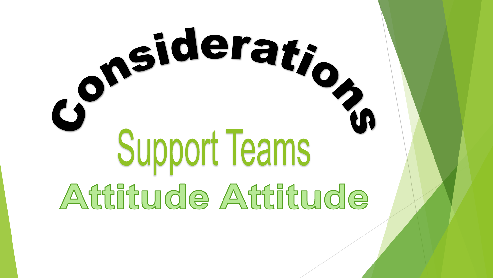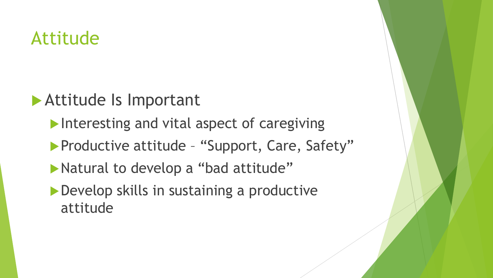## Attitude

### Attitude Is Important

- Interesting and vital aspect of caregiving
- **Productive attitude "Support, Care, Safety"**
- Natural to develop a "bad attitude"
- ▶ Develop skills in sustaining a productive attitude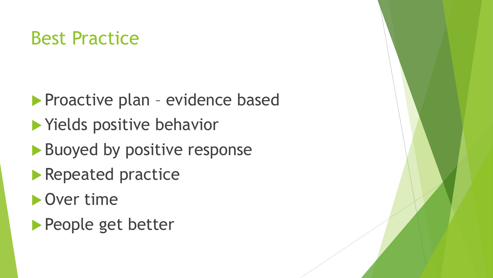## Best Practice

**Proactive plan - evidence based Nields positive behavior** Buoyed by positive response **Repeated practice D** Over time People get better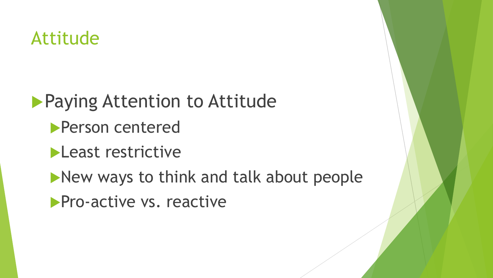## Attitude

**Paying Attention to Attitude** 

- Person centered
- **Least restrictive**
- **New ways to think and talk about people**
- **Pro-active vs. reactive**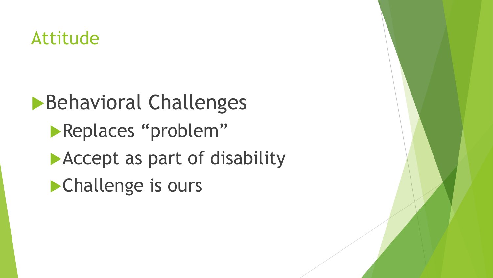## Attitude

**Behavioral Challenges Replaces "problem" Accept as part of disability Challenge is ours**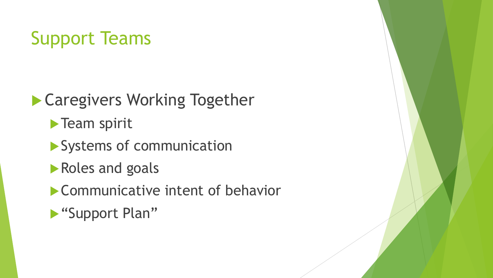# Support Teams

**Caregivers Working Together** 

**Team spirit** 

Systems of communication

Roles and goals

**Communicative intent of behavior** 

"Support Plan"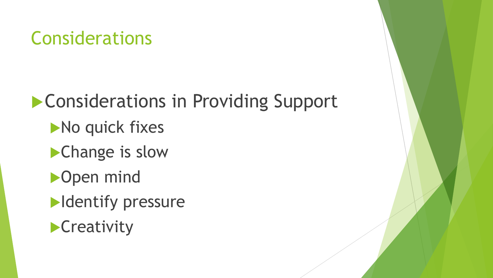# **Considerations in Providing Support** No quick fixes Change is slow **D**open mind **Identify pressure Creativity**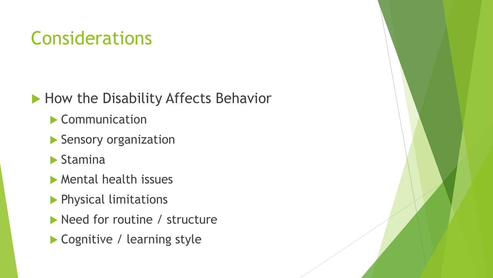### How the Disability Affects Behavior

- Communication
- Sensory organization
- $\blacktriangleright$  Stamina
- Mental health issues
- **Physical limitations**
- Need for routine / structure
- ▶ Cognitive / learning style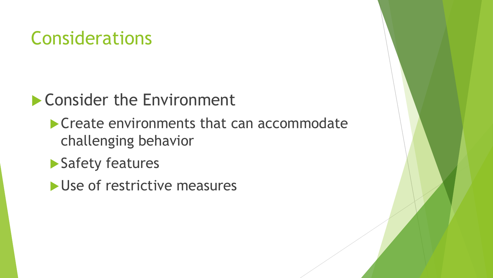### ▶ Consider the Environment

- **Create environments that can accommodate** challenging behavior
- ▶ Safety features
- Use of restrictive measures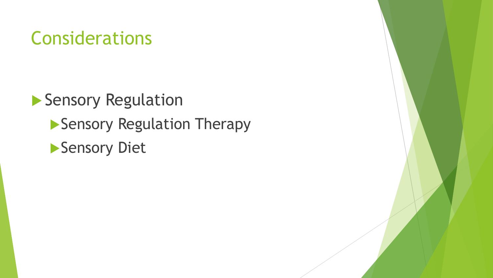Sensory Regulation **Sensory Regulation Therapy Sensory Diet**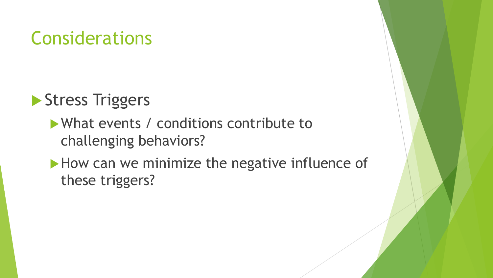### Stress Triggers

### What events / conditions contribute to challenging behaviors?

How can we minimize the negative influence of these triggers?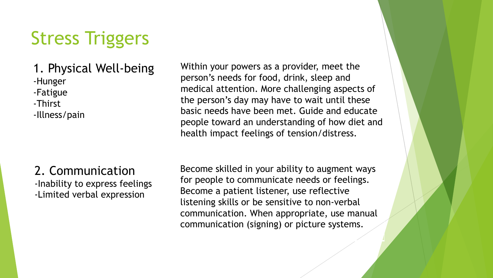#### 1. Physical Well-being -Hunger -Fatigue -Thirst -Illness/pain

Within your powers as a provider, meet the person's needs for food, drink, sleep and medical attention. More challenging aspects of the person's day may have to wait until these basic needs have been met. Guide and educate people toward an understanding of how diet and health impact feelings of tension/distress.

2. Communication -Inability to express feelings -Limited verbal expression

Become skilled in your ability to augment ways for people to communicate needs or feelings. Become a patient listener, use reflective listening skills or be sensitive to non-verbal communication. When appropriate, use manual communication (signing) or picture systems.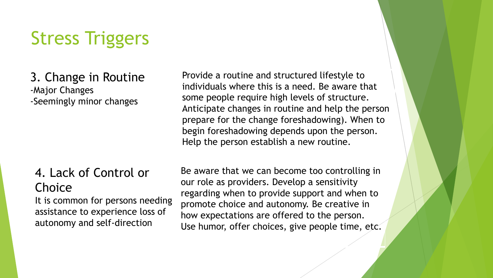#### 3. Change in Routine -Major Changes -Seemingly minor changes

Provide a routine and structured lifestyle to individuals where this is a need. Be aware that some people require high levels of structure. Anticipate changes in routine and help the person prepare for the change foreshadowing). When to begin foreshadowing depends upon the person. Help the person establish a new routine.

### 4. Lack of Control or **Choice**

It is common for persons needing assistance to experience loss of autonomy and self-direction

Be aware that we can become too controlling in our role as providers. Develop a sensitivity regarding when to provide support and when to promote choice and autonomy. Be creative in how expectations are offered to the person. Use humor, offer choices, give people time, etc.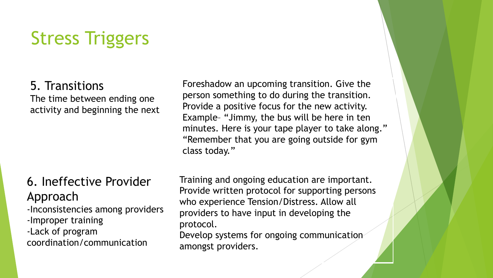#### 5. Transitions

The time between ending one activity and beginning the next

### 6. Ineffective Provider Approach

- -Inconsistencies among providers
- -Improper training
- -Lack of program coordination/communication

Foreshadow an upcoming transition. Give the person something to do during the transition. Provide a positive focus for the new activity. Example– "Jimmy, the bus will be here in ten minutes. Here is your tape player to take along." "Remember that you are going outside for gym class today."

Training and ongoing education are important. Provide written protocol for supporting persons who experience Tension/Distress. Allow all providers to have input in developing the protocol.

Develop systems for ongoing communication amongst providers.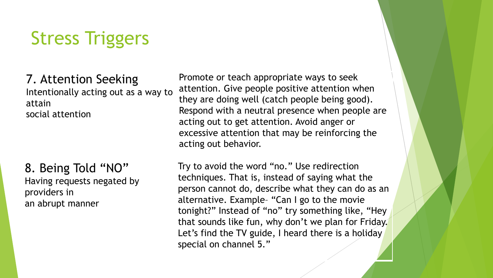7. Attention Seeking Intentionally acting out as a way to attain social attention

#### 8. Being Told "NO" Having requests negated by providers in an abrupt manner

Promote or teach appropriate ways to seek attention. Give people positive attention when they are doing well (catch people being good). Respond with a neutral presence when people are acting out to get attention. Avoid anger or excessive attention that may be reinforcing the acting out behavior.

Try to avoid the word "no." Use redirection techniques. That is, instead of saying what the person cannot do, describe what they can do as an alternative. Example– "Can I go to the movie tonight?" Instead of "no" try something like, "Hey that sounds like fun, why don't we plan for Friday. Let's find the TV guide, I heard there is a holiday special on channel 5."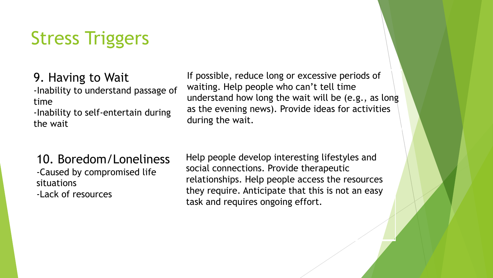9. Having to Wait -Inability to understand passage of time

-Inability to self-entertain during the wait

If possible, reduce long or excessive periods of waiting. Help people who can't tell time understand how long the wait will be (e.g., as long as the evening news). Provide ideas for activities during the wait.

#### 10. Boredom/Loneliness -Caused by compromised life situations -Lack of resources

Help people develop interesting lifestyles and social connections. Provide therapeutic relationships. Help people access the resources they require. Anticipate that this is not an easy task and requires ongoing effort.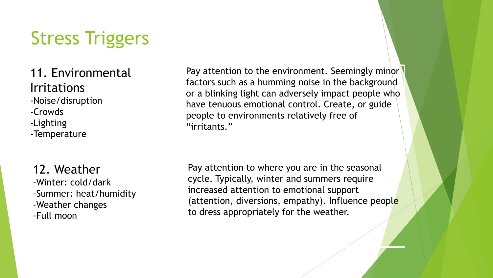### 11. Environmental Irritations

-Noise/disruption

- -Crowds
- -Lighting
- -Temperature

### 12. Weather

-Winter: cold/dark -Summer: heat/humidity -Weather changes -Full moon

Pay attention to the environment. Seemingly minor factors such as a humming noise in the background or a blinking light can adversely impact people who have tenuous emotional control. Create, or guide people to environments relatively free of "irritants."

Pay attention to where you are in the seasonal cycle. Typically, winter and summers require increased attention to emotional support (attention, diversions, empathy). Influence people to dress appropriately for the weather.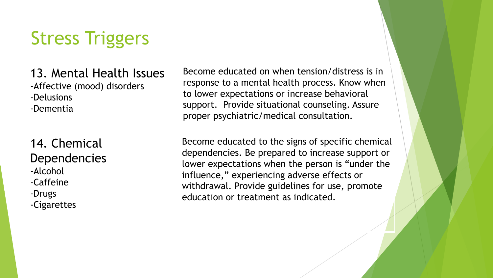#### 13. Mental Health Issues -Affective (mood) disorders -Delusions -Dementia

#### 14. Chemical **Dependencies** -Alcohol -Caffeine -Drugs

-Cigarettes

Become educated on when tension/distress is in response to a mental health process. Know when to lower expectations or increase behavioral support. Provide situational counseling. Assure proper psychiatric/medical consultation.

Become educated to the signs of specific chemical dependencies. Be prepared to increase support or lower expectations when the person is "under the influence," experiencing adverse effects or withdrawal. Provide guidelines for use, promote education or treatment as indicated.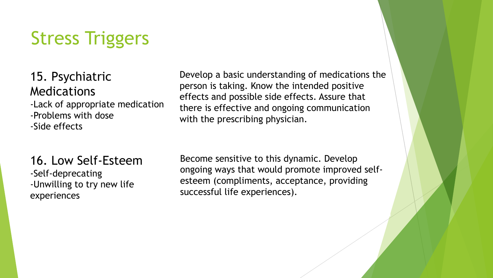15. Psychiatric Medications -Lack of appropriate medication -Problems with dose -Side effects

16. Low Self-Esteem -Self-deprecating -Unwilling to try new life experiences

Develop a basic understanding of medications the person is taking. Know the intended positive effects and possible side effects. Assure that there is effective and ongoing communication with the prescribing physician.

Become sensitive to this dynamic. Develop ongoing ways that would promote improved selfesteem (compliments, acceptance, providing successful life experiences).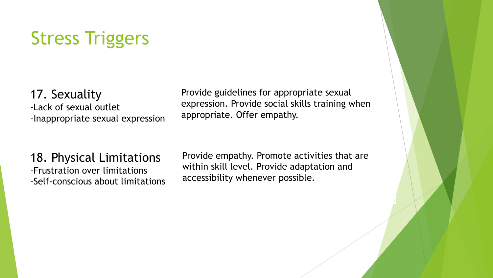17. Sexuality -Lack of sexual outlet -Inappropriate sexual expression Provide guidelines for appropriate sexual expression. Provide social skills training when appropriate. Offer empathy.

18. Physical Limitations -Frustration over limitations -Self-conscious about limitations

Provide empathy. Promote activities that are within skill level. Provide adaptation and accessibility whenever possible.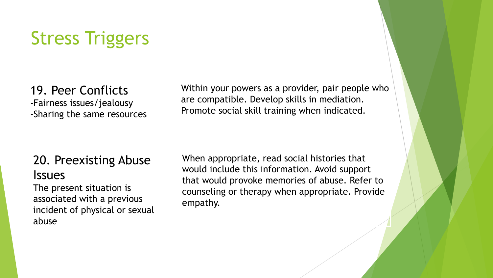19. Peer Conflicts -Fairness issues/jealousy -Sharing the same resources Within your powers as a provider, pair people who are compatible. Develop skills in mediation. Promote social skill training when indicated.

### 20. Preexisting Abuse **Issues**

The present situation is associated with a previous incident of physical or sexual abuse

When appropriate, read social histories that would include this information. Avoid support that would provoke memories of abuse. Refer to counseling or therapy when appropriate. Provide empathy.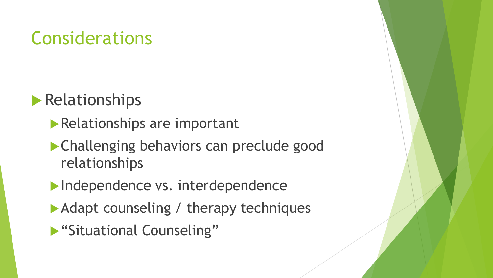## **Relationships**

- **Relationships are important**
- Challenging behaviors can preclude good relationships
- Independence vs. interdependence
- Adapt counseling / therapy techniques
- **Situational Counseling"**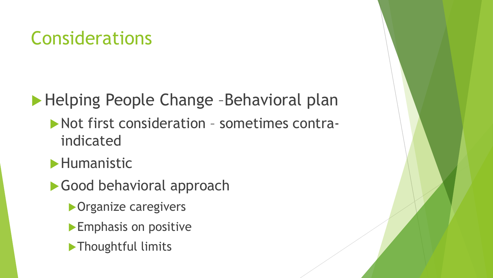## ▶ Helping People Change -Behavioral plan

- Not first consideration sometimes contraindicated
- **Humanistic**
- Good behavioral approach
	- **Organize caregivers**
	- **Emphasis on positive**
	- **Thoughtful limits**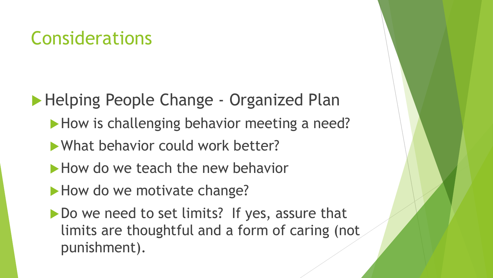**Helping People Change - Organized Plan** 

- How is challenging behavior meeting a need?
- What behavior could work better?
- How do we teach the new behavior
- How do we motivate change?
- Do we need to set limits? If yes, assure that limits are thoughtful and a form of caring (not punishment).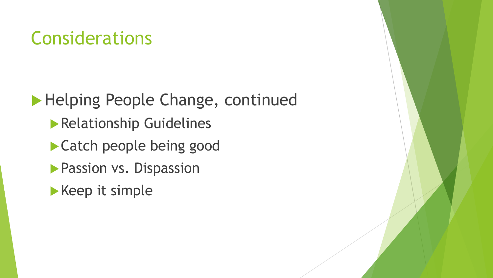**Helping People Change, continued Relationship Guidelines** Catch people being good **Passion vs. Dispassion**  $\blacktriangleright$  Keep it simple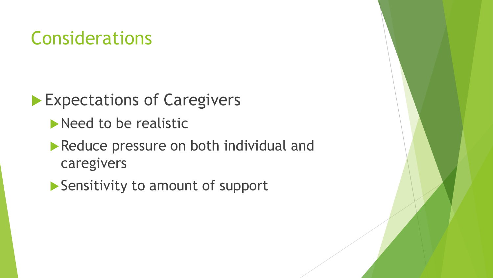**Expectations of Caregivers** 

Need to be realistic

Reduce pressure on both individual and caregivers

▶ Sensitivity to amount of support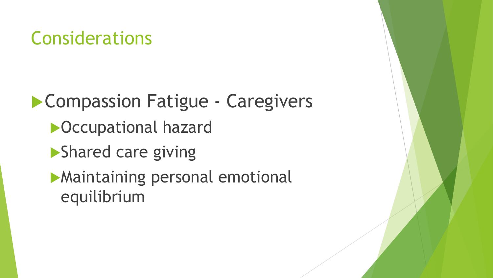**Compassion Fatigue - Caregivers** Occupational hazard **Shared care giving** Maintaining personal emotional equilibrium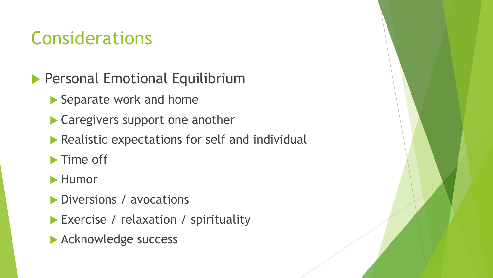- **Personal Emotional Equilibrium** 
	- Separate work and home
	- ▶ Caregivers support one another
	- Realistic expectations for self and individual
	- $\blacktriangleright$  Time off
	- **Humor**
	- Diversions / avocations
	- Exercise / relaxation / spirituality
	- **Acknowledge success**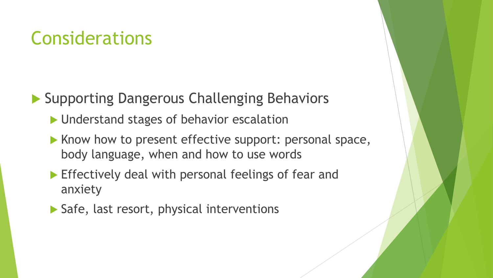▶ Supporting Dangerous Challenging Behaviors

- **I** Understand stages of behavior escalation
- $\blacktriangleright$  Know how to present effective support: personal space, body language, when and how to use words
- **Effectively deal with personal feelings of fear and** anxiety
- ▶ Safe, last resort, physical interventions